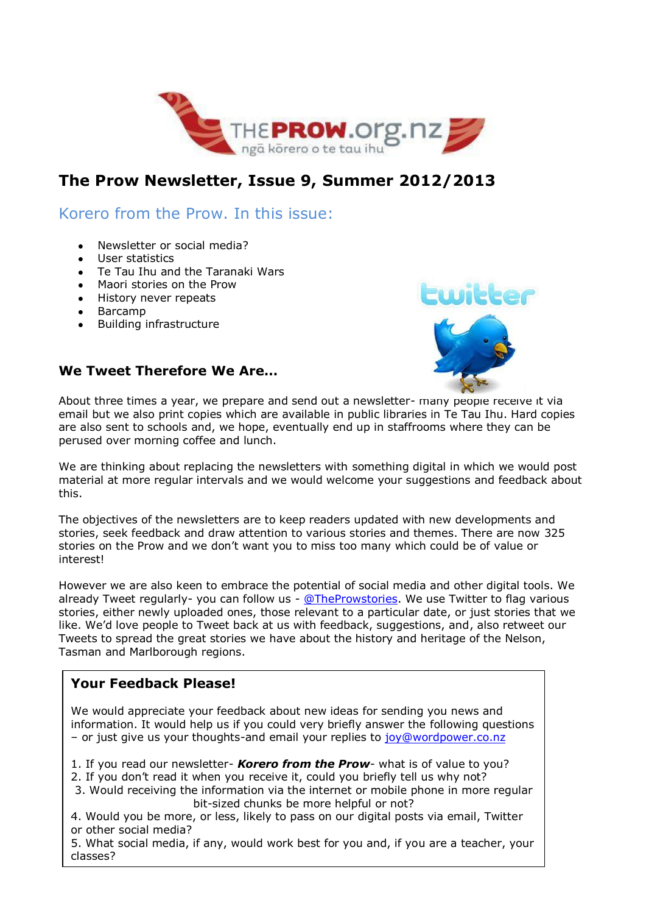

# **The Prow Newsletter, Issue 9, Summer 2012/2013**

Korero from the Prow. In this issue:

- Newsletter or social media?
- User statistics
- Te Tau Ihu and the Taranaki Wars
- Maori stories on the Prow
- History never repeats
- Barcamp
- Building infrastructure



#### **We Tweet Therefore We Are…**

About three times a year, we prepare and send out a newsletter- [many people receive it](http://www.google.co.nz/imgres?imgurl=http://blogs.independent.co.uk/wp-content/uploads/2012/08/twitter-logo.png&imgrefurl=http://blogs.independent.co.uk/2012/08/02/twitter%E2%80%99s-6th-birthday-a-look-back/&h=367&w=367&sz=142&tbnid=z4vosMNPNlbTIM:&tbnh=94&tbnw=94&zoom=1&usg=__humHqWogJ16d7PD9QuXpXFwrJ9U=&docid=GmE1WJ2gdUvG0M&hl=en&sa=X&ei=wu6qUMLNKovvmAXeuYDQBg&sqi=2&ved=0CDYQ9QEwBg&dur=4958) via email but we also print copies which are available in public libraries in Te Tau Ihu. Hard copies are also sent to schools and, we hope, eventually end up in staffrooms where they can be perused over morning coffee and lunch.

We are thinking about replacing the newsletters with something digital in which we would post material at more regular intervals and we would welcome your suggestions and feedback about this.

The objectives of the newsletters are to keep readers updated with new developments and stories, seek feedback and draw attention to various stories and themes. There are now 325 stories on the Prow and we don't want you to miss too many which could be of value or interest!

However we are also keen to embrace the potential of social media and other digital tools. We already Tweet regularly- you can follow us - [@TheProwstories.](https://twitter.com/TheProwstories) We use Twitter to flag various stories, either newly uploaded ones, those relevant to a particular date, or just stories that we like. We'd love people to Tweet back at us with feedback, suggestions, and, also retweet our Tweets to spread the great stories we have about the history and heritage of the Nelson, Tasman and Marlborough regions.

### **Your Feedback Please!**

We would appreciate your feedback about new ideas for sending you news and information. It would help us if you could very briefly answer the following questions – or just give us your thoughts-and email your replies to [joy@wordpower.co.nz](mailto:joy@wordpower.co.nz)

1. If you read our newsletter- *Korero from the Prow*- what is of value to you?

- 2. If you don't read it when you receive it, could you briefly tell us why not?
- 3. Would receiving the information via the internet or mobile phone in more regular bit-sized chunks be more helpful or not?
- 4. Would you be more, or less, likely to pass on our digital posts via email, Twitter or other social media?

5. What social media, if any, would work best for you and, if you are a teacher, your classes?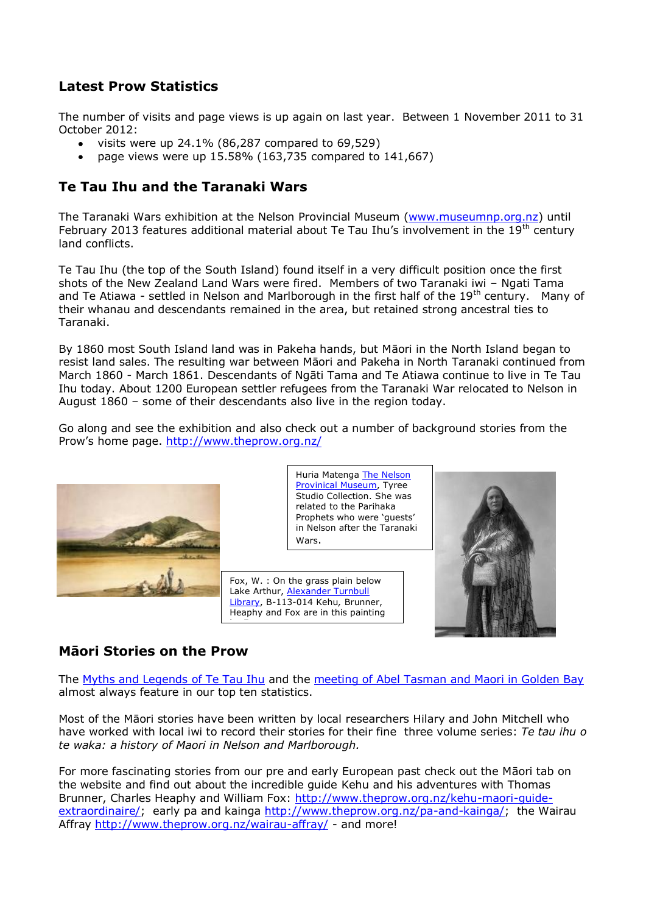## **Latest Prow Statistics**

The number of visits and page views is up again on last year. Between 1 November 2011 to 31 October 2012:

- visits were up 24.1% (86,287 compared to 69,529)
- page views were up 15.58% (163,735 compared to 141,667)

## **Te Tau Ihu and the Taranaki Wars**

The Taranaki Wars exhibition at the Nelson Provincial Museum [\(www.museumnp.org.nz\)](http://www.museumnp.org.nz/) until February 2013 features additional material about Te Tau Ihu's involvement in the  $19<sup>th</sup>$  century land conflicts.

Te Tau Ihu (the top of the South Island) found itself in a very difficult position once the first shots of the New Zealand Land Wars were fired. Members of two Taranaki iwi – Ngati Tama and Te Atiawa - settled in Nelson and Marlborough in the first half of the  $19<sup>th</sup>$  century. Many of their whanau and descendants remained in the area, but retained strong ancestral ties to Taranaki.

By 1860 most South Island land was in Pakeha hands, but Māori in the North Island began to resist land sales. The resulting war between Māori and Pakeha in North Taranaki continued from March 1860 - March 1861. Descendants of Ngāti Tama and Te Atiawa continue to live in Te Tau Ihu today. About 1200 European settler refugees from the Taranaki War relocated to Nelson in August 1860 – some of their descendants also live in the region today.

Go along and see the exhibition and also check out a number of background stories from the Prow's home page.<http://www.theprow.org.nz/>



Huria Matenga [The Nelson](http://www.museumnp.org.nz/)  [Provinical Museum,](http://www.museumnp.org.nz/) Tyree Studio Collection. She was related to the Parihaka Prophets who were 'guests' in Nelson after the Taranaki Wars.

Fox, W. : On the grass plain below Lake Arthur, [Alexander Turnbull](http://timeframes.natlib.govt.nz/logicrouter/servlet/LogicRouter?PAGE=object&OUTPUTXSL=object.xslt&pm_RC=REPO02DB&pm_OI=4392&pm_GT=Y&pm_IAC=Y&api_1=GET_OBJECT_XML&num_result=3&&Object_Layout=about_object)  [Library,](http://timeframes.natlib.govt.nz/logicrouter/servlet/LogicRouter?PAGE=object&OUTPUTXSL=object.xslt&pm_RC=REPO02DB&pm_OI=4392&pm_GT=Y&pm_IAC=Y&api_1=GET_OBJECT_XML&num_result=3&&Object_Layout=about_object) B-113-014 Kehu*,* Brunner, Heaphy and Fox are in this painting

by Fox.



### **Māori Stories on the Prow**

The [Myths and Legends of Te Tau Ihu](http://www.theprow.org.nz/myths-and-legends-of-te-tau-ihu) and the [meeting of Abel Tasman and Maori in Golden Bay](http://www.theprow.org.nz/the-first-meeting-abel-tasman-and-maori-in-golden-bay) almost always feature in our top ten statistics.

Most of the Māori stories have been written by local researchers Hilary and John Mitchell who have worked with local iwi to record their stories for their fine three volume series: *Te tau ihu o te waka: a history of Maori in Nelson and Marlborough.* 

For more fascinating stories from our pre and early European past check out the Māori tab on the website and find out about the incredible guide Kehu and his adventures with Thomas Brunner, Charles Heaphy and William Fox: [http://www.theprow.org.nz/kehu-maori-guide](http://www.theprow.org.nz/kehu-maori-guide-extraordinaire/)[extraordinaire/;](http://www.theprow.org.nz/kehu-maori-guide-extraordinaire/) early pa and kainga [http://www.theprow.org.nz/pa-and-kainga/;](http://www.theprow.org.nz/pa-and-kainga/) the Wairau Affray<http://www.theprow.org.nz/wairau-affray/> - and more!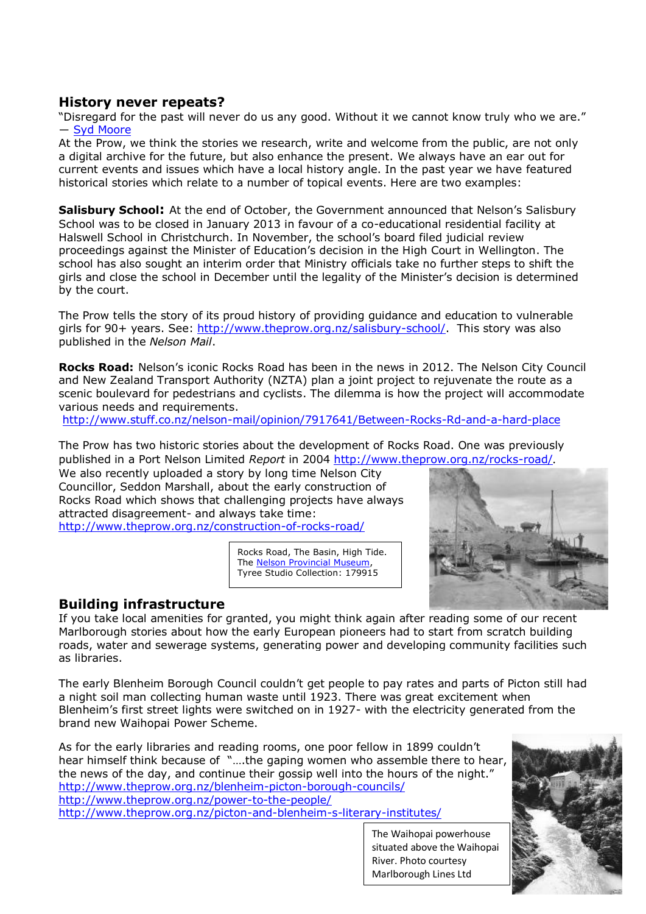#### **History never repeats?**

"Disregard for the past will never do us any good. Without it we cannot know truly who we are." ― [Syd Moore](http://www.goodreads.com/author/show/5008398.Syd_Moore)

At the Prow, we think the stories we research, write and welcome from the public, are not only a digital archive for the future, but also enhance the present. We always have an ear out for current events and issues which have a local history angle. In the past year we have featured historical stories which relate to a number of topical events. Here are two examples:

**Salisbury School:** At the end of October, the Government announced that Nelson's Salisbury School was to be closed in January 2013 in favour of a co-educational residential facility at Halswell School in Christchurch. In November, the school's board filed judicial review proceedings against the Minister of Education's decision in the High Court in Wellington. The school has also sought an interim order that Ministry officials take no further steps to shift the girls and close the school in December until the legality of the Minister's decision is determined by the court.

The Prow tells the story of its proud history of providing guidance and education to vulnerable girls for 90+ years. See: [http://www.theprow.org.nz/salisbury-school/.](http://www.theprow.org.nz/salisbury-school/) This story was also published in the *Nelson Mail*.

**Rocks Road:** Nelson's iconic Rocks Road has been in the news in 2012. The Nelson City Council and New Zealand Transport Authority (NZTA) plan a joint project to rejuvenate the route as a scenic boulevard for pedestrians and cyclists. The dilemma is how the project will accommodate various needs and requirements.

<http://www.stuff.co.nz/nelson-mail/opinion/7917641/Between-Rocks-Rd-and-a-hard-place>

The Prow has two historic stories about the development of Rocks Road. One was previously published in a Port Nelson Limited *Report* in 2004<http://www.theprow.org.nz/rocks-road/>.

We also recently uploaded a story by long time Nelson City Councillor, Seddon Marshall, about the early construction of Rocks Road which shows that challenging projects have always attracted disagreement- and always take time: <http://www.theprow.org.nz/construction-of-rocks-road/>

> Rocks Road, The Basin, High Tide. The [Nelson Provincial Museum,](http://www.museumnp.org.nz/) Tyree Studio Collection: 179915



### **Building infrastructure**

If you take local amenities for granted, you might think again after reading some of our recent Marlborough stories about how the early European pioneers had to start from scratch building roads, water and sewerage systems, generating power and developing community facilities such as libraries.

The early Blenheim Borough Council couldn't get people to pay rates and parts of Picton still had a night soil man collecting human waste until 1923. There was great excitement when Blenheim's first street lights were switched on in 1927- with the electricity generated from the brand new Waihopai Power Scheme.

As for the early libraries and reading rooms, one poor fellow in 1899 couldn't hear himself think because of "….the gaping women who assemble there to hear, the news of the day, and continue their gossip well into the hours of the night." <http://www.theprow.org.nz/blenheim-picton-borough-councils/> <http://www.theprow.org.nz/power-to-the-people/> <http://www.theprow.org.nz/picton-and-blenheim-s-literary-institutes/>

The Waihopai powerhouse situated above the Waihopai River. Photo courtesy Marlborough Lines Ltd